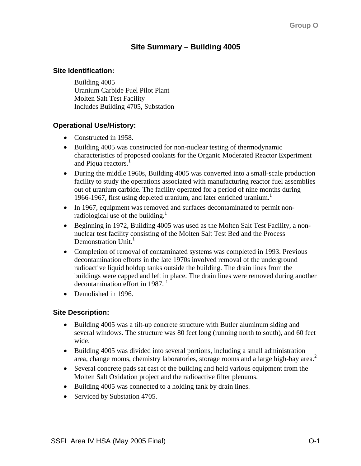# **Site Identification:**

Building 4005 Uranium Carbide Fuel Pilot Plant Molten Salt Test Facility Includes Building 4705, Substation

# **Operational Use/History:**

- Constructed in 1958.
- Building 4005 was constructed for non-nuclear testing of thermodynamic characteristics of proposed coolants for the Organic Moderated Reactor Experiment and Piqua reactors.<sup>1</sup>
- During the middle 1960s, Building 4005 was converted into a small-scale production facility to study the operations associated with manufacturing reactor fuel assemblies out of uranium carbide. The facility operated for a period of nine months during 1966-1967, first using depleted uranium, and later enriched uranium.<sup>1</sup>
- In 1967, equipment was removed and surfaces decontaminated to permit nonradiological use of the building.<sup>1</sup>
- Beginning in 1972, Building 4005 was used as the Molten Salt Test Facility, a nonnuclear test facility consisting of the Molten Salt Test Bed and the Process Demonstration Unit. $<sup>1</sup>$ </sup>
- Completion of removal of contaminated systems was completed in 1993. Previous decontamination efforts in the late 1970s involved removal of the underground radioactive liquid holdup tanks outside the building. The drain lines from the buildings were capped and left in place. The drain lines were removed during another decontamination effort in 1987. 1
- Demolished in 1996.

# **Site Description:**

- Building 4005 was a tilt-up concrete structure with Butler aluminum siding and several windows. The structure was 80 feet long (running north to south), and 60 feet wide.
- Building 4005 was divided into several portions, including a small administration area, change rooms, chemistry laboratories, storage rooms and a large high-bay area.<sup>2</sup>
- Several concrete pads sat east of the building and held various equipment from the Molten Salt Oxidation project and the radioactive filter plenums.
- Building 4005 was connected to a holding tank by drain lines.
- Serviced by Substation 4705.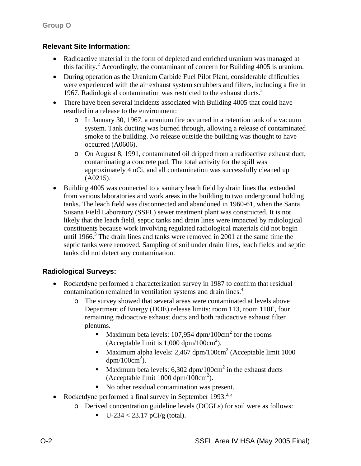# **Relevant Site Information:**

- Radioactive material in the form of depleted and enriched uranium was managed at this facility.<sup>2</sup> Accordingly, the contaminant of concern for Building 4005 is uranium.
- During operation as the Uranium Carbide Fuel Pilot Plant, considerable difficulties were experienced with the air exhaust system scrubbers and filters, including a fire in 1967. Radiological contamination was restricted to the exhaust ducts. $<sup>2</sup>$ </sup>
- There have been several incidents associated with Building 4005 that could have resulted in a release to the environment:
	- o In January 30, 1967, a uranium fire occurred in a retention tank of a vacuum system. Tank ducting was burned through, allowing a release of contaminated smoke to the building. No release outside the building was thought to have occurred (A0606).
	- o On August 8, 1991, contaminated oil dripped from a radioactive exhaust duct, contaminating a concrete pad. The total activity for the spill was approximately 4 nCi, and all contamination was successfully cleaned up (A0215).
- Building 4005 was connected to a sanitary leach field by drain lines that extended from various laboratories and work areas in the building to two underground holding tanks. The leach field was disconnected and abandoned in 1960-61, when the Santa Susana Field Laboratory (SSFL) sewer treatment plant was constructed. It is not likely that the leach field, septic tanks and drain lines were impacted by radiological constituents because work involving regulated radiological materials did not begin until 1966. $3$  The drain lines and tanks were removed in 2001 at the same time the septic tanks were removed. Sampling of soil under drain lines, leach fields and septic tanks did not detect any contamination.

# **Radiological Surveys:**

- Rocketdyne performed a characterization survey in 1987 to confirm that residual contamination remained in ventilation systems and drain lines.<sup>4</sup>
	- o The survey showed that several areas were contaminated at levels above Department of Energy (DOE) release limits: room 113, room 110E, four remaining radioactive exhaust ducts and both radioactive exhaust filter plenums.
		- Maximum beta levels: 107,954 dpm/100 $\text{cm}^2$  for the rooms (Acceptable limit is  $1,000$  dpm/ $100 \text{cm}^2$ ).
		- Maximum alpha levels: 2,467 dpm/100 $\text{cm}^2$  (Acceptable limit 1000  $dpm/100cm^2$ ).
		- Maximum beta levels: 6,302 dpm/100cm<sup>2</sup> in the exhaust ducts (Acceptable limit  $1000 \text{ dpm}/100 \text{cm}^2$ ).
		- No other residual contamination was present.
- Rocketdyne performed a final survey in September 1993.<sup>2,5</sup>
	- o Derived concentration guideline levels (DCGLs) for soil were as follows:
		- $\blacksquare$  U-234 < 23.17 pCi/g (total).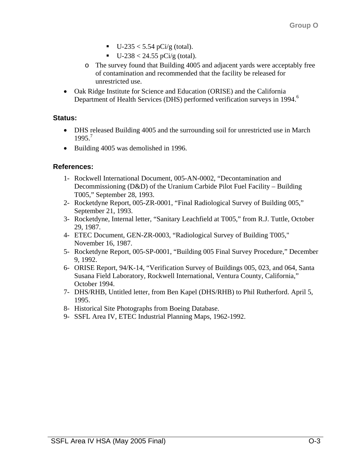- $U-235 < 5.54$  pCi/g (total).
- $\blacksquare$  U-238 < 24.55 pCi/g (total).
- o The survey found that Building 4005 and adjacent yards were acceptably free of contamination and recommended that the facility be released for unrestricted use.
- Oak Ridge Institute for Science and Education (ORISE) and the California Department of Health Services (DHS) performed verification surveys in 1994.<sup>6</sup>

### **Status:**

- DHS released Building 4005 and the surrounding soil for unrestricted use in March 1995.<sup>7</sup>
- Building 4005 was demolished in 1996.

# **References:**

- 1- Rockwell International Document, 005-AN-0002, "Decontamination and Decommissioning (D&D) of the Uranium Carbide Pilot Fuel Facility – Building T005," September 28, 1993.
- 2- Rocketdyne Report, 005-ZR-0001, "Final Radiological Survey of Building 005," September 21, 1993.
- 3- Rocketdyne, Internal letter, "Sanitary Leachfield at T005," from R.J. Tuttle, October 29, 1987.
- 4- ETEC Document, GEN-ZR-0003, "Radiological Survey of Building T005," November 16, 1987.
- 5- Rocketdyne Report, 005-SP-0001, "Building 005 Final Survey Procedure," December 9, 1992.
- 6- ORISE Report, 94/K-14, "Verification Survey of Buildings 005, 023, and 064, Santa Susana Field Laboratory, Rockwell International, Ventura County, California," October 1994.
- 7- DHS/RHB, Untitled letter, from Ben Kapel (DHS/RHB) to Phil Rutherford. April 5, 1995.
- 8- Historical Site Photographs from Boeing Database.
- 9- SSFL Area IV, ETEC Industrial Planning Maps, 1962-1992.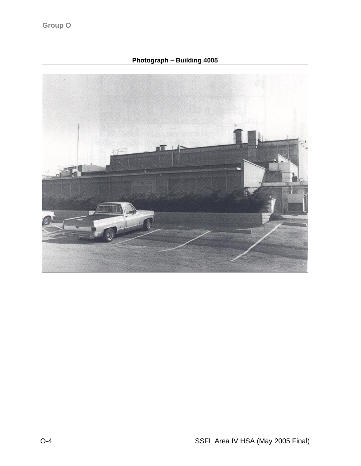**Photograph – Building 4005**